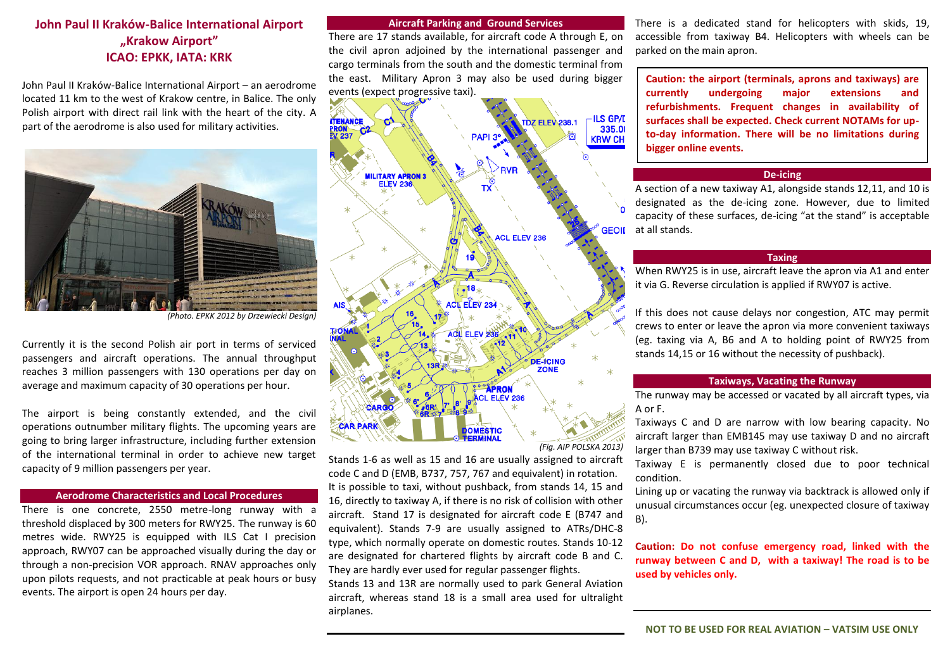# **John Paul II Kraków-Balice International Airport "Krakow Airport" ICAO: EPKK, IATA: KRK**

John Paul II Kraków-Balice International Airport – an aerodrome located 11 km to the west of Krakow centre, in Balice. The only Polish airport with direct rail link with the heart of the city. A part of the aerodrome is also used for military activities.



*(Photo. EPKK 2012 by Drzewiecki Design)*

Currently it is the second Polish air port in terms of serviced passengers and aircraft operations. The annual throughput reaches 3 million passengers with 130 operations per day on average and maximum capacity of 30 operations per hour.

The airport is being constantly extended, and the civil operations outnumber military flights. The upcoming years are going to bring larger infrastructure, including further extension of the international terminal in order to achieve new target capacity of 9 million passengers per year.

### **Aerodrome Characteristics and Local Procedures**

There is one concrete, 2550 metre-long runway with a threshold displaced by 300 meters for RWY25. The runway is 60 metres wide. RWY25 is equipped with ILS Cat I precision approach, RWY07 can be approached visually during the day or through a non-precision VOR approach. RNAV approaches only upon pilots requests, and not practicable at peak hours or busy events. The airport is open 24 hours per day.

#### **Aircraft Parking and Ground Services**

There are 17 stands available, for aircraft code A through E, on the civil apron adjoined by the international passenger and cargo terminals from the south and the domestic terminal from the east. Military Apron 3 may also be used during bigger events (expect progressive taxi).



*(Fig. AIP POLSKA 2013)*

Stands 1-6 as well as 15 and 16 are usually assigned to aircraft code C and D (EMB, B737, 757, 767 and equivalent) in rotation. It is possible to taxi, without pushback, from stands 14, 15 and 16, directly to taxiway A, if there is no risk of collision with other aircraft. Stand 17 is designated for aircraft code E (B747 and equivalent). Stands 7-9 are usually assigned to ATRs/DHC-8 type, which normally operate on domestic routes. Stands 10-12 are designated for chartered flights by aircraft code B and C. They are hardly ever used for regular passenger flights.

Stands 13 and 13R are normally used to park General Aviation aircraft, whereas stand 18 is a small area used for ultralight airplanes.

There is a dedicated stand for helicopters with skids, 19, accessible from taxiway B4. Helicopters with wheels can be parked on the main apron.

**Caution: the airport (terminals, aprons and taxiways) are currently undergoing major extensions and refurbishments. Frequent changes in availability of surfaces shall be expected. Check current NOTAMs for upto-day information. There will be no limitations during bigger online events.**

## **De-icing**

A section of a new taxiway A1, alongside stands 12,11, and 10 is designated as the de-icing zone. However, due to limited capacity of these surfaces, de-icing "at the stand" is acceptable **GEOIL** at all stands.

## **Taxing**

When RWY25 is in use, aircraft leave the apron via A1 and enter it via G. Reverse circulation is applied if RWY07 is active.

If this does not cause delays nor congestion, ATC may permit crews to enter or leave the apron via more convenient taxiways (eg. taxing via A, B6 and A to holding point of RWY25 from stands 14,15 or 16 without the necessity of pushback).

## **Taxiways, Vacating the Runway**

The runway may be accessed or vacated by all aircraft types, via A or F.

Taxiways C and D are narrow with low bearing capacity. No aircraft larger than EMB145 may use taxiway D and no aircraft larger than B739 may use taxiway C without risk.

Taxiway E is permanently closed due to poor technical condition.

Lining up or vacating the runway via backtrack is allowed only if unusual circumstances occur (eg. unexpected closure of taxiway B).

**Caution: Do not confuse emergency road, linked with the runway between C and D, with a taxiway! The road is to be used by vehicles only.**